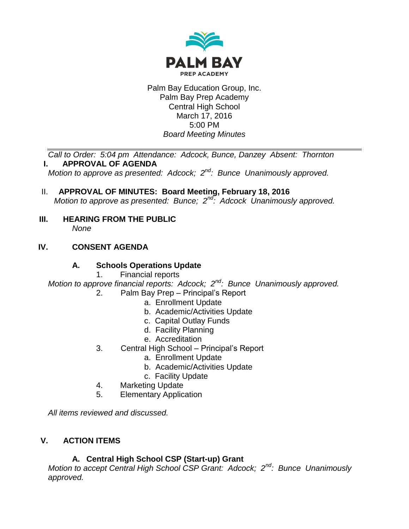

Palm Bay Education Group, Inc. Palm Bay Prep Academy Central High School March 17, 2016 5:00 PM *Board Meeting Minutes*

*Call to Order: 5:04 pm Attendance: Adcock, Bunce, Danzey Absent: Thornton* **I. APPROVAL OF AGENDA**

*Motion to approve as presented: Adcock; 2nd: Bunce Unanimously approved.*

- II. **APPROVAL OF MINUTES: Board Meeting, February 18, 2016** *Motion to approve as presented: Bunce; 2nd: Adcock Unanimously approved.*
- **III. HEARING FROM THE PUBLIC** *None*

### **IV. CONSENT AGENDA**

### **A. Schools Operations Update**

1. Financial reports

*Motion to approve financial reports: Adcock; 2nd: Bunce Unanimously approved.*

- 2. Palm Bay Prep Principal's Report
	- a. Enrollment Update
	- b. Academic/Activities Update
	- c. Capital Outlay Funds
	- d. Facility Planning
	- e. Accreditation
- 3. Central High School Principal's Report
	- a. Enrollment Update
	- b. Academic/Activities Update
	- c. Facility Update
- 4. Marketing Update
- 5. Elementary Application

*All items reviewed and discussed.*

# **V. ACTION ITEMS**

### **A. Central High School CSP (Start-up) Grant**

*Motion to accept Central High School CSP Grant: Adcock; 2nd: Bunce Unanimously approved.*